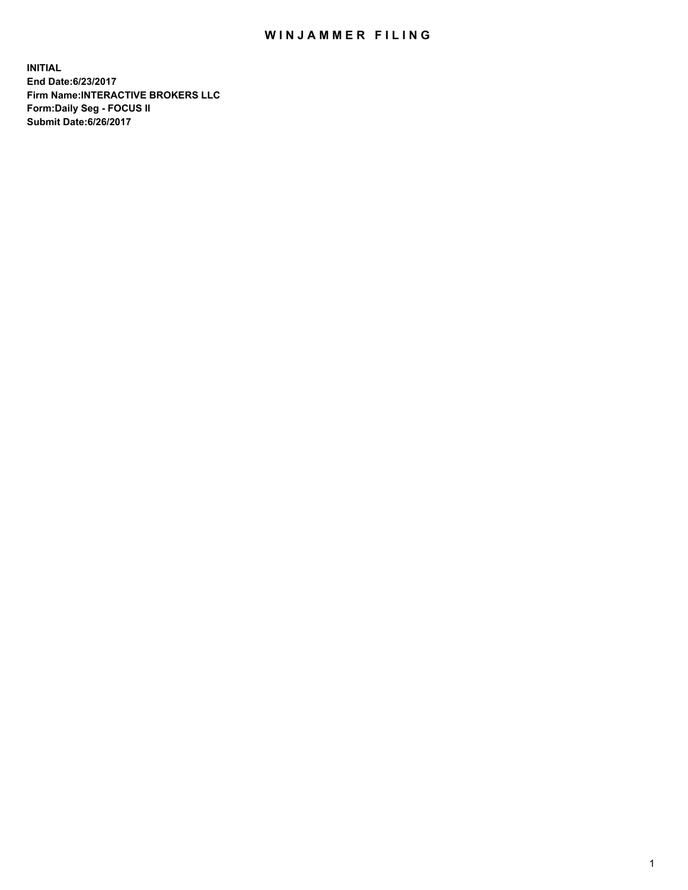## WIN JAMMER FILING

**INITIAL End Date:6/23/2017 Firm Name:INTERACTIVE BROKERS LLC Form:Daily Seg - FOCUS II Submit Date:6/26/2017**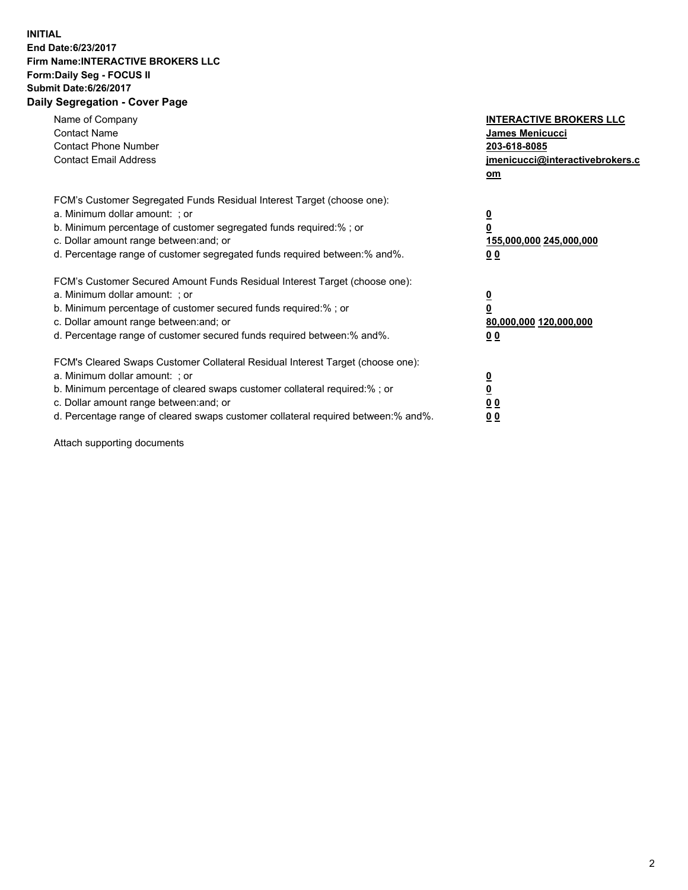## **INITIAL End Date:6/23/2017 Firm Name:INTERACTIVE BROKERS LLC Form:Daily Seg - FOCUS II Submit Date:6/26/2017 Daily Segregation - Cover Page**

| Name of Company<br><b>Contact Name</b><br><b>Contact Phone Number</b><br><b>Contact Email Address</b>                                                                                                                                                                                                                          | <b>INTERACTIVE BROKERS LLC</b><br>James Menicucci<br>203-618-8085<br>jmenicucci@interactivebrokers.c<br>om |
|--------------------------------------------------------------------------------------------------------------------------------------------------------------------------------------------------------------------------------------------------------------------------------------------------------------------------------|------------------------------------------------------------------------------------------------------------|
| FCM's Customer Segregated Funds Residual Interest Target (choose one):<br>a. Minimum dollar amount: ; or<br>b. Minimum percentage of customer segregated funds required:%; or<br>c. Dollar amount range between: and; or<br>d. Percentage range of customer segregated funds required between:% and%.                          | $\overline{\mathbf{0}}$<br>0<br>155,000,000 245,000,000<br>0 <sub>0</sub>                                  |
| FCM's Customer Secured Amount Funds Residual Interest Target (choose one):<br>a. Minimum dollar amount: ; or<br>b. Minimum percentage of customer secured funds required:%; or<br>c. Dollar amount range between: and; or<br>d. Percentage range of customer secured funds required between:% and%.                            | $\overline{\mathbf{0}}$<br>$\overline{\mathbf{0}}$<br>80,000,000 120,000,000<br>00                         |
| FCM's Cleared Swaps Customer Collateral Residual Interest Target (choose one):<br>a. Minimum dollar amount: ; or<br>b. Minimum percentage of cleared swaps customer collateral required:% ; or<br>c. Dollar amount range between: and; or<br>d. Percentage range of cleared swaps customer collateral required between:% and%. | $\overline{\mathbf{0}}$<br>$\overline{\mathbf{0}}$<br>0 <sub>0</sub><br><u>00</u>                          |

Attach supporting documents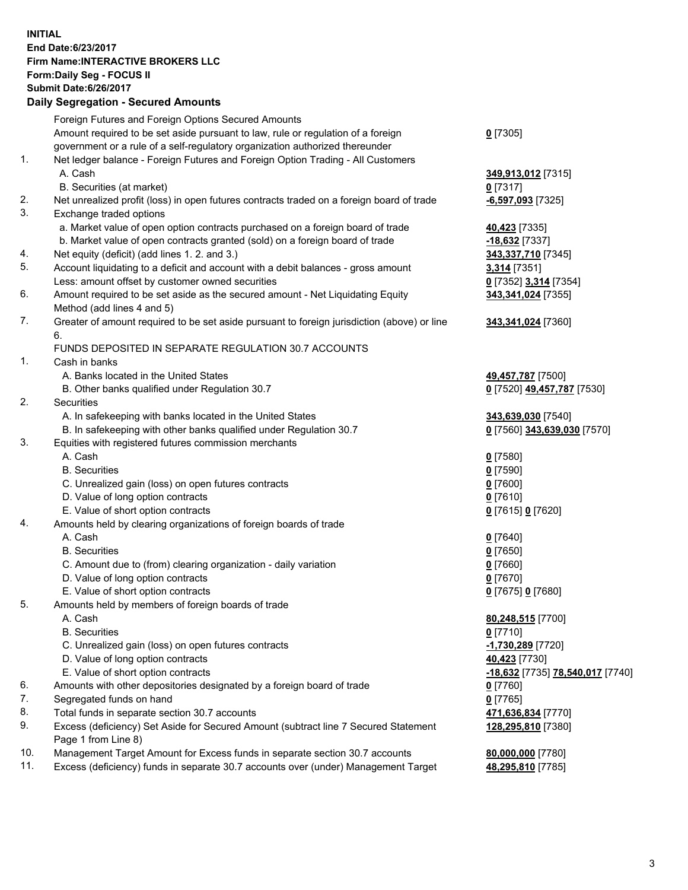## **INITIAL End Date:6/23/2017 Firm Name:INTERACTIVE BROKERS LLC Form:Daily Seg - FOCUS II Submit Date:6/26/2017**

|     | Supmit Date:6/26/2017<br><b>Daily Segregation - Secured Amounts</b>                         |                                                      |
|-----|---------------------------------------------------------------------------------------------|------------------------------------------------------|
|     |                                                                                             |                                                      |
|     | Foreign Futures and Foreign Options Secured Amounts                                         |                                                      |
|     | Amount required to be set aside pursuant to law, rule or regulation of a foreign            | $0$ [7305]                                           |
|     | government or a rule of a self-regulatory organization authorized thereunder                |                                                      |
| 1.  | Net ledger balance - Foreign Futures and Foreign Option Trading - All Customers<br>A. Cash  | 349,913,012 [7315]                                   |
|     | B. Securities (at market)                                                                   | $0$ [7317]                                           |
| 2.  | Net unrealized profit (loss) in open futures contracts traded on a foreign board of trade   | -6,597,093 [7325]                                    |
| 3.  | Exchange traded options                                                                     |                                                      |
|     | a. Market value of open option contracts purchased on a foreign board of trade              | 40,423 [7335]                                        |
|     | b. Market value of open contracts granted (sold) on a foreign board of trade                | -18,632 [7337]                                       |
| 4.  | Net equity (deficit) (add lines 1.2. and 3.)                                                | 343,337,710 [7345]                                   |
| 5.  | Account liquidating to a deficit and account with a debit balances - gross amount           | 3,314 [7351]                                         |
|     | Less: amount offset by customer owned securities                                            | 0 [7352] 3,314 [7354]                                |
| 6.  | Amount required to be set aside as the secured amount - Net Liquidating Equity              | 343,341,024 [7355]                                   |
|     | Method (add lines 4 and 5)                                                                  |                                                      |
| 7.  | Greater of amount required to be set aside pursuant to foreign jurisdiction (above) or line | 343,341,024 [7360]                                   |
|     | 6.                                                                                          |                                                      |
|     | FUNDS DEPOSITED IN SEPARATE REGULATION 30.7 ACCOUNTS                                        |                                                      |
| 1.  | Cash in banks                                                                               |                                                      |
|     | A. Banks located in the United States                                                       | 49,457,787 [7500]                                    |
|     | B. Other banks qualified under Regulation 30.7                                              | 0 [7520] 49,457,787 [7530]                           |
| 2.  | Securities                                                                                  |                                                      |
|     | A. In safekeeping with banks located in the United States                                   | 343,639,030 [7540]                                   |
|     | B. In safekeeping with other banks qualified under Regulation 30.7                          | 0 [7560] 343,639,030 [7570]                          |
| 3.  | Equities with registered futures commission merchants                                       |                                                      |
|     | A. Cash                                                                                     | $0$ [7580]                                           |
|     | <b>B.</b> Securities                                                                        | $0$ [7590]                                           |
|     | C. Unrealized gain (loss) on open futures contracts                                         | $0$ [7600]                                           |
|     | D. Value of long option contracts                                                           | $0$ [7610]                                           |
|     | E. Value of short option contracts                                                          | 0 [7615] 0 [7620]                                    |
| 4.  | Amounts held by clearing organizations of foreign boards of trade                           |                                                      |
|     | A. Cash                                                                                     | $0$ [7640]                                           |
|     | <b>B.</b> Securities                                                                        | $0$ [7650]                                           |
|     | C. Amount due to (from) clearing organization - daily variation                             | $0$ [7660]                                           |
|     | D. Value of long option contracts                                                           | $0$ [7670]                                           |
|     | E. Value of short option contracts                                                          | 0 [7675] 0 [7680]                                    |
| 5.  | Amounts held by members of foreign boards of trade                                          |                                                      |
|     | A. Cash                                                                                     | 80,248,515 [7700]                                    |
|     | <b>B.</b> Securities                                                                        | $0$ [7710]                                           |
|     | C. Unrealized gain (loss) on open futures contracts                                         | -1,730,289 [7720]                                    |
|     | D. Value of long option contracts                                                           | 40,423 [7730]                                        |
|     | E. Value of short option contracts                                                          | <mark>-18,632</mark> [7735] <b>78,540,017</b> [7740] |
| 6.  | Amounts with other depositories designated by a foreign board of trade                      | $0$ [7760]                                           |
| 7.  | Segregated funds on hand                                                                    | $0$ [7765]                                           |
| 8.  | Total funds in separate section 30.7 accounts                                               | 471,636,834 [7770]                                   |
| 9.  | Excess (deficiency) Set Aside for Secured Amount (subtract line 7 Secured Statement         | 128,295,810 [7380]                                   |
|     | Page 1 from Line 8)                                                                         |                                                      |
| 10. | Management Target Amount for Excess funds in separate section 30.7 accounts                 | 80,000,000 [7780]                                    |
| 11. | Excess (deficiency) funds in separate 30.7 accounts over (under) Management Target          | 48,295,810 [7785]                                    |
|     |                                                                                             |                                                      |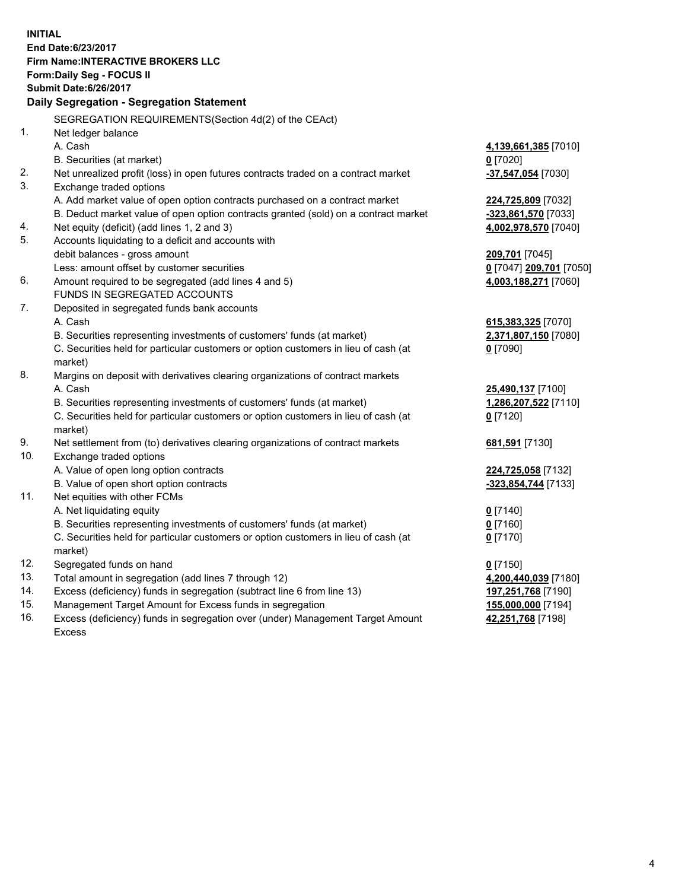**INITIAL End Date:6/23/2017 Firm Name:INTERACTIVE BROKERS LLC Form:Daily Seg - FOCUS II Submit Date:6/26/2017 Daily Segregation - Segregation Statement** SEGREGATION REQUIREMENTS(Section 4d(2) of the CEAct) 1. Net ledger balance A. Cash **4,139,661,385** [7010] B. Securities (at market) **0** [7020] 2. Net unrealized profit (loss) in open futures contracts traded on a contract market **-37,547,054** [7030] 3. Exchange traded options A. Add market value of open option contracts purchased on a contract market **224,725,809** [7032] B. Deduct market value of open option contracts granted (sold) on a contract market **-323,861,570** [7033] 4. Net equity (deficit) (add lines 1, 2 and 3) **4,002,978,570** [7040] 5. Accounts liquidating to a deficit and accounts with debit balances - gross amount **209,701** [7045] Less: amount offset by customer securities **0** [7047] **209,701** [7050] 6. Amount required to be segregated (add lines 4 and 5) **4,003,188,271** [7060] FUNDS IN SEGREGATED ACCOUNTS 7. Deposited in segregated funds bank accounts A. Cash **615,383,325** [7070] B. Securities representing investments of customers' funds (at market) **2,371,807,150** [7080] C. Securities held for particular customers or option customers in lieu of cash (at market) **0** [7090] 8. Margins on deposit with derivatives clearing organizations of contract markets A. Cash **25,490,137** [7100] B. Securities representing investments of customers' funds (at market) **1,286,207,522** [7110] C. Securities held for particular customers or option customers in lieu of cash (at market) **0** [7120] 9. Net settlement from (to) derivatives clearing organizations of contract markets **681,591** [7130] 10. Exchange traded options A. Value of open long option contracts **224,725,058** [7132] B. Value of open short option contracts **-323,854,744** [7133] 11. Net equities with other FCMs A. Net liquidating equity **0** [7140] B. Securities representing investments of customers' funds (at market) **0** [7160] C. Securities held for particular customers or option customers in lieu of cash (at market) **0** [7170] 12. Segregated funds on hand **0** [7150] 13. Total amount in segregation (add lines 7 through 12) **4,200,440,039** [7180] 14. Excess (deficiency) funds in segregation (subtract line 6 from line 13) **197,251,768** [7190] 15. Management Target Amount for Excess funds in segregation **155,000,000** [7194] **42,251,768** [7198]

16. Excess (deficiency) funds in segregation over (under) Management Target Amount Excess